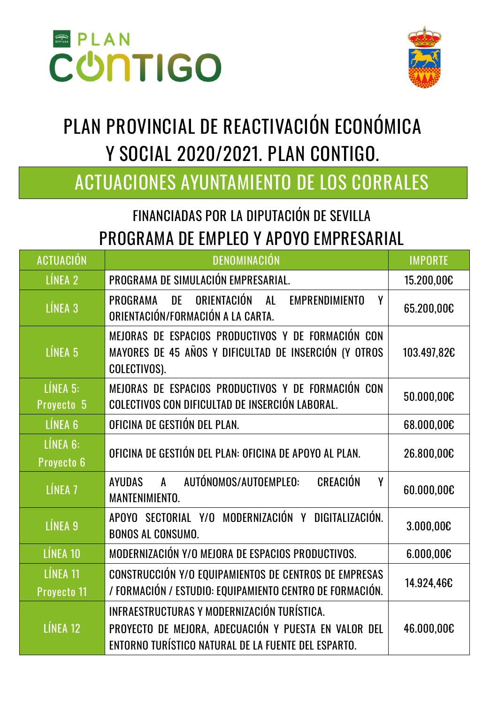



# **PLAN PROVINCIAL DE REACTIVACIÓN ECONÓMICA Y SOCIAL 2020/2021. PLAN CONTIGO.**

### **ACTUACIONES AYUNTAMIENTO DE LOS CORRALES**

#### FINANCIADAS POR LA DIPUTACIÓN DE SEVILLA PROGRAMA DE EMPLEO Y APOYO EMPRESARIAL

| <b>ACTUACIÓN</b>               | DENOMINACIÓN                                                                                                                                               | <b>IMPORTE</b> |
|--------------------------------|------------------------------------------------------------------------------------------------------------------------------------------------------------|----------------|
| LÍNEA 2                        | PROGRAMA DE SIMULACIÓN EMPRESARIAL.                                                                                                                        | 15.200,00€     |
| LÍNEA <sub>3</sub>             | ORIENTACIÓN<br>DE<br>AL<br><b>EMPRENDIMIENTO</b><br>PROGRAMA<br>γ<br>ORIENTACIÓN/FORMACIÓN A LA CARTA.                                                     | 65.200,00€     |
| LÍNEA <sub>5</sub>             | MEJORAS DE ESPACIOS PRODUCTIVOS Y DE FORMACIÓN CON<br>MAYORES DE 45 AÑOS Y DIFICULTAD DE INSERCIÓN (Y OTROS<br>COLECTIVOS).                                | 103.497,82€    |
| $L$ INEA 5:<br>Proyecto 5      | MEJORAS DE ESPACIOS PRODUCTIVOS Y DE FORMACIÓN CON<br>COLECTIVOS CON DIFICULTAD DE INSERCIÓN LABORAL.                                                      | 50.000,00€     |
| LÍNEA <sub>6</sub>             | OFICINA DE GESTIÓN DEL PLAN.                                                                                                                               | 68.000,00€     |
| LÍNEA 6:<br>Proyecto 6         | OFICINA DE GESTIÓN DEL PLAN: OFICINA DE APOYO AL PLAN.                                                                                                     | 26.800,00€     |
| LÍNEA <sub>7</sub>             | A AUTÓNOMOS/AUTOEMPLEO:<br><b>CREACIÓN</b><br>AYUDAS<br>Υ<br>MANTENIMIENTO.                                                                                | 60.000,00€     |
| LÍNEA 9                        | APOYO SECTORIAL Y/O MODERNIZACIÓN Y DIGITALIZACIÓN.<br><b>BONOS AL CONSUMO.</b>                                                                            | 3.000,00€      |
| LÍNEA 10                       | MODERNIZACIÓN Y/O MEJORA DE ESPACIOS PRODUCTIVOS.                                                                                                          | 6.000,000      |
| LÍNEA 11<br><b>Proyecto 11</b> | CONSTRUCCIÓN Y/O EQUIPAMIENTOS DE CENTROS DE EMPRESAS<br>/ FORMACIÓN / ESTUDIO: EQUIPAMIENTO CENTRO DE FORMACIÓN.                                          | 14.924,46€     |
| LÍNEA 12                       | INFRAESTRUCTURAS Y MODERNIZACIÓN TURÍSTICA.<br>PROYECTO DE MEJORA, ADECUACIÓN Y PUESTA EN VALOR DEL<br>ENTORNO TURÍSTICO NATURAL DE LA FUENTE DEL ESPARTO. | 46.000,00€     |